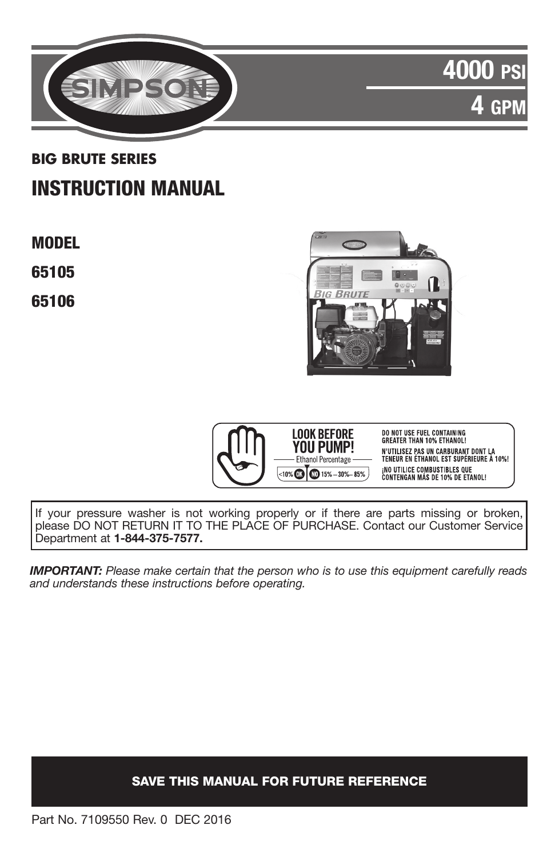

# 4000 PS  $\mathsf{H}^\mathbf{p}$

## **BIG BRUTE SERIES** INSTRUCTION MANUAL

MODEL

65105

65106





**DO NOT USE FUEL CONTAINING<br>GREATER THAN 10% ETHANOL!** N'UTILISEZ PAS UN CARBURANT DONT LA<br>TENEUR EN ÉTHANOL EST SUPÉRIEURE À 10%! <sub>i</sub>no utilice combustibles que<br>Contengan más de 10% de etanol!

If your pressure washer is not working properly or if there are parts missing or broken, please DO NOT RETURN IT TO THE PLACE OF PURCHASE. Contact our Customer Service Department at 1-844-375-7577.

*IMPORTANT: Please make certain that the person who is to use this equipment carefully reads and understands these instructions before operating.* 

## SAVE THIS MANUAL FOR FUTURE REFERENCE

Part No. 7109550 Rev. 0 DEC 2016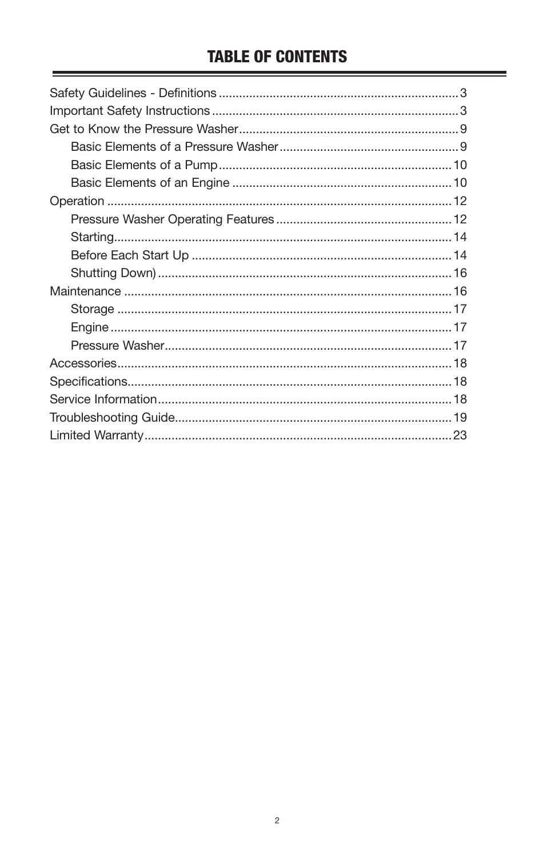## **TABLE OF CONTENTS**

۰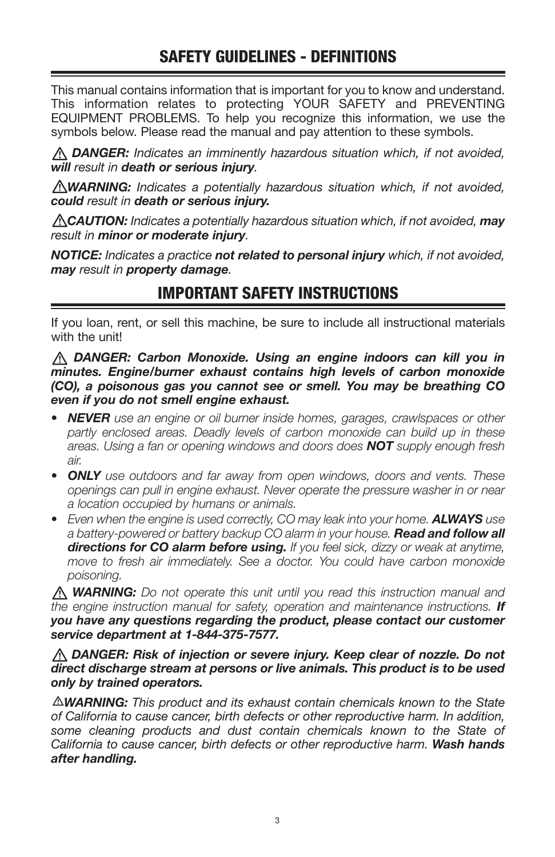## SAFETY GUIDELINES - DEFINITIONS

This manual contains information that is important for you to know and understand. This information relates to protecting YOUR SAFETY and PREVENTING EQUIPMENT PROBLEMS. To help you recognize this information, we use the symbols below. Please read the manual and pay attention to these symbols.

 *DANGER: Indicates an imminently hazardous situation which, if not avoided, will result in death or serious injury.*

*WARNING: Indicates a potentially hazardous situation which, if not avoided, could result in death or serious injury.*

*CAUTION: Indicates a potentially hazardous situation which, if not avoided, may result in minor or moderate injury.*

*NOTICE: Indicates a practice not related to personal injury which, if not avoided, may result in property damage.*

## IMPORTANT SAFETY INSTRUCTIONS

If you loan, rent, or sell this machine, be sure to include all instructional materials with the unit!

#### *DANGER: Carbon Monoxide. Using an engine indoors can kill you in minutes. Engine/burner exhaust contains high levels of carbon monoxide (CO), a poisonous gas you cannot see or smell. You may be breathing CO even if you do not smell engine exhaust.*

- *• NEVER use an engine or oil burner inside homes, garages, crawlspaces or other partly enclosed areas. Deadly levels of carbon monoxide can build up in these areas. Using a fan or opening windows and doors does NOT supply enough fresh air.*
- *• ONLY use outdoors and far away from open windows, doors and vents. These openings can pull in engine exhaust. Never operate the pressure washer in or near a location occupied by humans or animals.*
- Even when the engine is used correctly, CO may leak into your home. **ALWAYS** use *a battery-powered or battery backup CO alarm in your house. Read and follow all directions for CO alarm before using. If you feel sick, dizzy or weak at anytime, move to fresh air immediately. See a doctor. You could have carbon monoxide poisoning.*

 *WARNING: Do not operate this unit until you read this instruction manual and the engine instruction manual for safety, operation and maintenance instructions. If you have any questions regarding the product, please contact our customer service department at 1-844-375-7577.*

*DANGER: Risk of injection or severe injury. Keep clear of nozzle. Do not direct discharge stream at persons or live animals. This product is to be used only by trained operators.*

*WARNING: This product and its exhaust contain chemicals known to the State of California to cause cancer, birth defects or other reproductive harm. In addition, some cleaning products and dust contain chemicals known to the State of California to cause cancer, birth defects or other reproductive harm. Wash hands after handling.*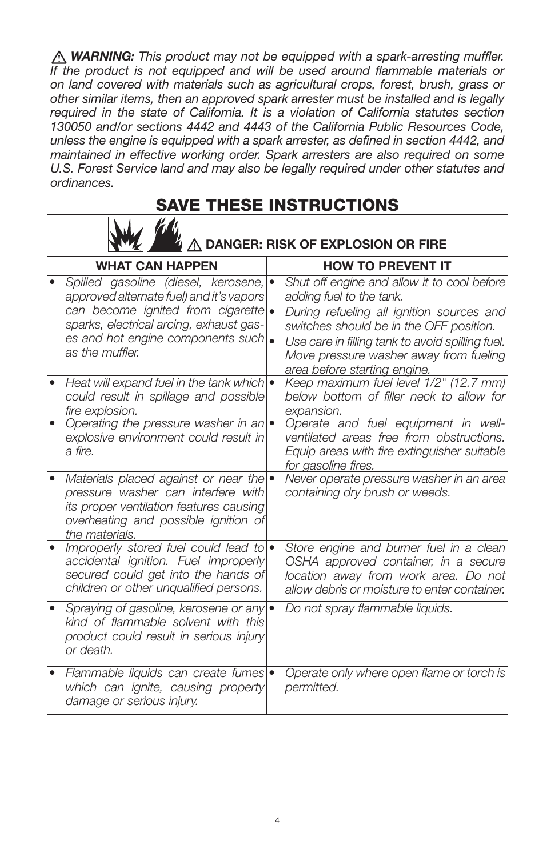*WARNING: This product may not be equipped with a spark-arresting muffler. If the product is not equipped and will be used around flammable materials or on land covered with materials such as agricultural crops, forest, brush, grass or other similar items, then an approved spark arrester must be installed and is legally required in the state of California. It is a violation of California statutes section 130050 and/or sections 4442 and 4443 of the California Public Resources Code, unless the engine is equipped with a spark arrester, as defined in section 4442, and maintained in effective working order. Spark arresters are also required on some U.S. Forest Service land and may also be legally required under other statutes and ordinances.*

## SAVE THESE INSTRUCTIONS



## DANGER: RISK OF EXPLOSION OR FIRE

| <b>WHAT CAN HAPPEN</b>                                                                                                                                                                                                    | <b>HOW TO PREVENT IT</b>                                                                                                                                                                                                                                                                      |
|---------------------------------------------------------------------------------------------------------------------------------------------------------------------------------------------------------------------------|-----------------------------------------------------------------------------------------------------------------------------------------------------------------------------------------------------------------------------------------------------------------------------------------------|
| Spilled gasoline (diesel, kerosene, ·<br>approved alternate fuel) and it's vapors<br>can become ignited from cigarette<br>sparks, electrical arcing, exhaust gas-<br>es and hot engine components such<br>as the muffler. | Shut off engine and allow it to cool before<br>adding fuel to the tank.<br>During refueling all ignition sources and<br>switches should be in the OFF position.<br>Use care in filling tank to avoid spilling fuel.<br>Move pressure washer away from fueling<br>area before starting engine. |
| Heat will expand fuel in the tank which $\bullet$<br>could result in spillage and possible<br>fire explosion.                                                                                                             | Keep maximum fuel level 1/2" (12.7 mm)<br>below bottom of filler neck to allow for<br>expansion.                                                                                                                                                                                              |
| Operating the pressure washer in an<br>explosive environment could result in<br>a fire.                                                                                                                                   | Operate and fuel equipment in well-<br>ventilated areas free from obstructions.<br>Equip areas with fire extinguisher suitable<br>for gasoline fires.                                                                                                                                         |
| Materials placed against or near the<br>pressure washer can interfere with<br>its proper ventilation features causing<br>overheating and possible ignition of<br>the materials.                                           | Never operate pressure washer in an area<br>containing dry brush or weeds.                                                                                                                                                                                                                    |
| Improperly stored fuel could lead to<br>accidental ignition. Fuel improperly<br>secured could get into the hands of<br>children or other unqualified persons.                                                             | Store engine and burner fuel in a clean<br>OSHA approved container, in a secure<br>location away from work area. Do not<br>allow debris or moisture to enter container.                                                                                                                       |
| Spraying of gasoline, kerosene or any $\bullet$<br>kind of flammable solvent with this<br>product could result in serious injury<br>or death.                                                                             | Do not spray flammable liquids.                                                                                                                                                                                                                                                               |
| Flammable liquids can create fumes .<br>which can ignite, causing property<br>damage or serious injury.                                                                                                                   | Operate only where open flame or torch is<br>permitted.                                                                                                                                                                                                                                       |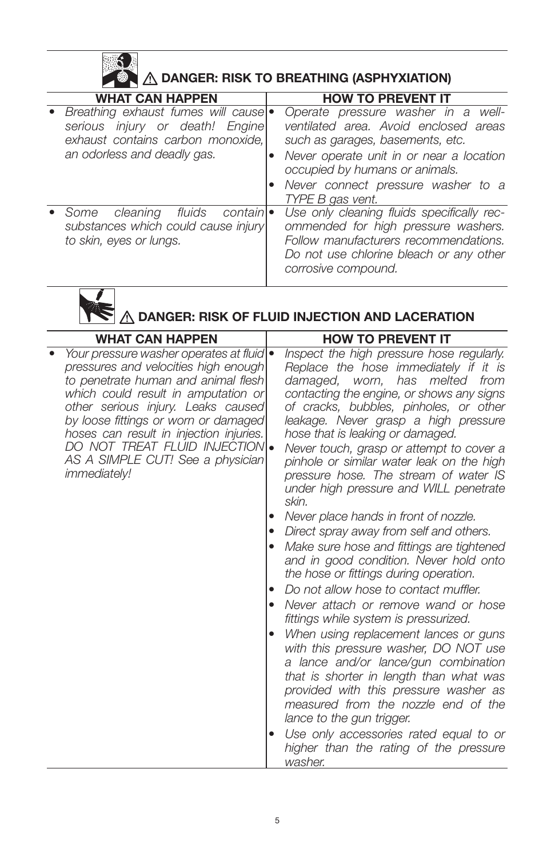|                                                                                                                                           | A DANGER: RISK TO BREATHING (ASPHYXIATION)                                                                                                                                                                                                              |
|-------------------------------------------------------------------------------------------------------------------------------------------|---------------------------------------------------------------------------------------------------------------------------------------------------------------------------------------------------------------------------------------------------------|
| <b>WHAT CAN HAPPEN</b>                                                                                                                    | <b>HOW TO PREVENT IT</b>                                                                                                                                                                                                                                |
| Breathing exhaust fumes will cause<br>serious injury or death! Engine<br>exhaust contains carbon monoxide,<br>an odorless and deadly gas. | Operate pressure washer in a well-<br>ventilated area. Avoid enclosed areas<br>such as garages, basements, etc.<br>Never operate unit in or near a location<br>occupied by humans or animals.<br>Never connect pressure washer to a<br>TYPE B gas vent. |
| fluids<br>cleaning<br>contain •<br>Some<br>substances which could cause injury<br>to skin, eyes or lungs.                                 | Use only cleaning fluids specifically rec-<br>ommended for high pressure washers.<br>Follow manufacturers recommendations.<br>Do not use chlorine bleach or any other<br>corrosive compound.                                                            |



## DANGER: RISK OF FLUID INJECTION AND LACERATION

| <b>WHAT CAN HAPPEN</b>                                                                                                                                                                                                                                                                                                                                                                | <b>HOW TO PREVENT IT</b>                                                                                                                                                                                                                                                                                                                                                                                                                                                                                                                                                                                                                                                                                                                                     |
|---------------------------------------------------------------------------------------------------------------------------------------------------------------------------------------------------------------------------------------------------------------------------------------------------------------------------------------------------------------------------------------|--------------------------------------------------------------------------------------------------------------------------------------------------------------------------------------------------------------------------------------------------------------------------------------------------------------------------------------------------------------------------------------------------------------------------------------------------------------------------------------------------------------------------------------------------------------------------------------------------------------------------------------------------------------------------------------------------------------------------------------------------------------|
| Your pressure washer operates at fluid) .<br>pressures and velocities high enough<br>to penetrate human and animal flesh<br>which could result in amputation or<br>other serious injury. Leaks caused<br>by loose fittings or worn or damaged<br>hoses can result in injection injuries.<br>DO NOT TREAT FLUID INJECTION .<br>AS A SIMPLE CUT! See a physician<br><i>immediately!</i> | Inspect the high pressure hose regularly.<br>Replace the hose immediately if it is<br>melted from<br>damaged, worn,<br>has<br>contacting the engine, or shows any signs<br>of cracks, bubbles, pinholes, or other<br>leakage. Never grasp a high pressure<br>hose that is leaking or damaged.<br>Never touch, grasp or attempt to cover a<br>pinhole or similar water leak on the high<br>pressure hose. The stream of water IS<br>under high pressure and WILL penetrate<br>skin.                                                                                                                                                                                                                                                                           |
|                                                                                                                                                                                                                                                                                                                                                                                       | Never place hands in front of nozzle.<br>٠<br>Direct spray away from self and others.<br>Make sure hose and fittings are tightened<br>and in good condition. Never hold onto<br>the hose or fittings during operation.<br>Do not allow hose to contact muffler.<br>٠<br>Never attach or remove wand or hose<br>$\bullet$<br>fittings while system is pressurized.<br>When using replacement lances or guns<br>٠<br>with this pressure washer, DO NOT use<br>a lance and/or lance/gun combination<br>that is shorter in length than what was<br>provided with this pressure washer as<br>measured from the nozzle end of the<br>lance to the gun trigger.<br>Use only accessories rated equal to or<br>٠<br>higher than the rating of the pressure<br>washer. |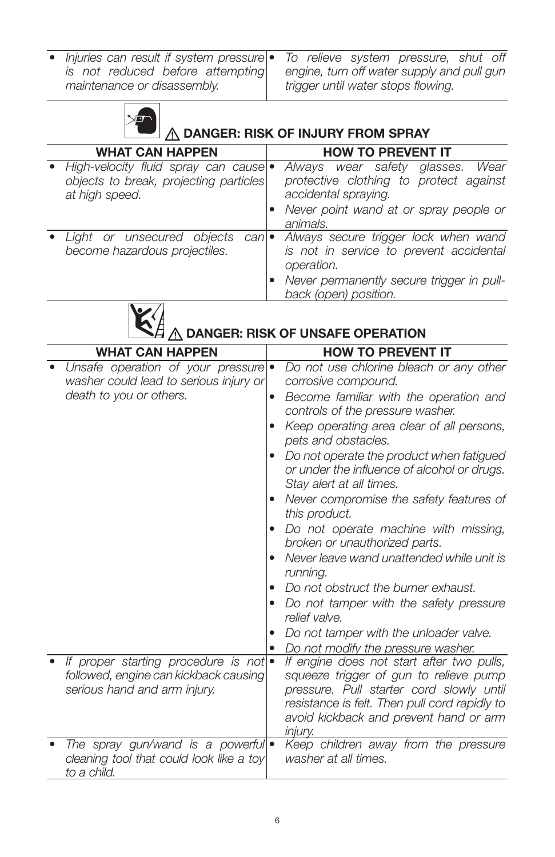*• Injuries can result if system pressure is not reduced before attempting maintenance or disassembly.*



*• To relieve system pressure, shut off* 



## $\overline{\mathbb{A}}$  danger: Risk of Injury from Spray

| <b>WHAT CAN HAPPEN</b>                                                                              | <b>HOW TO PREVENT IT</b>                                                                                                                                            |
|-----------------------------------------------------------------------------------------------------|---------------------------------------------------------------------------------------------------------------------------------------------------------------------|
| · High-velocity fluid spray can cause •<br>objects to break, projecting particles<br>at high speed. | Always wear safety glasses. Wear<br>protective clothing to protect against<br>accidental spraying.                                                                  |
|                                                                                                     | Never point wand at or spray people or<br>animals.                                                                                                                  |
| • Light or unsecured objects can •<br>become hazardous projectiles.                                 | Always secure trigger lock when wand<br>is not in service to prevent accidental<br>operation.<br>Never permanently secure trigger in pull-<br>back (open) position. |



 $\hat{\mathbb{A}}$  DANGER: RISK OF UNSAFE OPERATION

| <b>WHAT CAN HAPPEN</b>                                                                                         | <b>HOW TO PREVENT IT</b>                                                                                                                                                                                                                     |
|----------------------------------------------------------------------------------------------------------------|----------------------------------------------------------------------------------------------------------------------------------------------------------------------------------------------------------------------------------------------|
| Unsafe operation of your pressure<br>washer could lead to serious injury or                                    | Do not use chlorine bleach or any other<br>corrosive compound.                                                                                                                                                                               |
| death to you or others.                                                                                        | Become familiar with the operation and<br>٠<br>controls of the pressure washer.                                                                                                                                                              |
|                                                                                                                | Keep operating area clear of all persons,<br>pets and obstacles.                                                                                                                                                                             |
|                                                                                                                | Do not operate the product when fatigued<br>or under the influence of alcohol or drugs.<br>Stay alert at all times.                                                                                                                          |
|                                                                                                                | Never compromise the safety features of<br>this product.                                                                                                                                                                                     |
|                                                                                                                | Do not operate machine with missing,<br>broken or unauthorized parts.                                                                                                                                                                        |
|                                                                                                                | Never leave wand unattended while unit is<br>running.                                                                                                                                                                                        |
|                                                                                                                | Do not obstruct the burner exhaust.                                                                                                                                                                                                          |
|                                                                                                                | Do not tamper with the safety pressure<br>٠<br>relief valve.                                                                                                                                                                                 |
|                                                                                                                | Do not tamper with the unloader valve.                                                                                                                                                                                                       |
|                                                                                                                | Do not modify the pressure washer.                                                                                                                                                                                                           |
| If proper starting procedure is not .<br>followed, engine can kickback causing<br>serious hand and arm injury. | If engine does not start after two pulls,<br>squeeze trigger of gun to relieve pump<br>pressure. Pull starter cord slowly until<br>resistance is felt. Then pull cord rapidly to<br>avoid kickback and prevent hand or arm<br><i>injury.</i> |
| The spray gun/wand is a powerful<br>cleaning tool that could look like a toy<br>to a child.                    | Keep children away from the pressure<br>washer at all times.                                                                                                                                                                                 |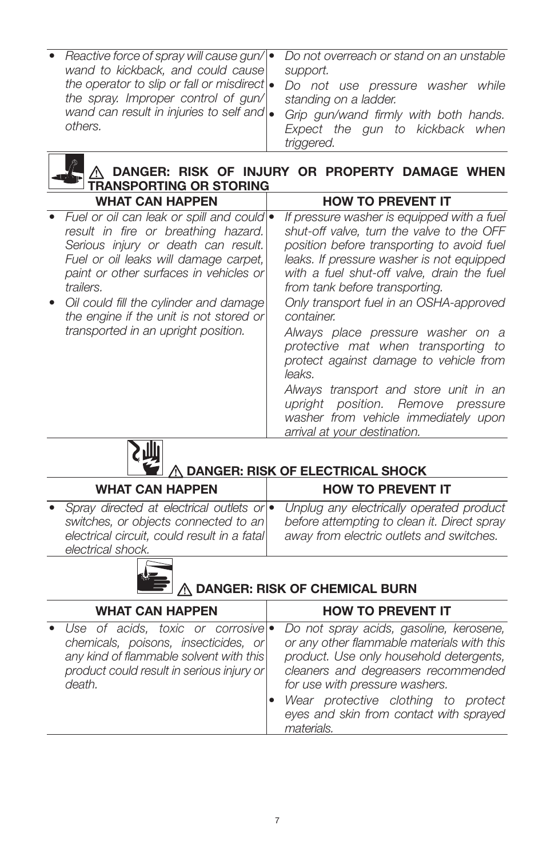| • Reactive force of spray will cause gun/ $\bullet$ | Do not overreach or stand on an unstable |
|-----------------------------------------------------|------------------------------------------|
| wand to kickback, and could cause                   | support.                                 |
| the operator to slip or fall or misdirect $\bullet$ | Do not use pressure washer while         |
| the spray. Improper control of gun/                 | standing on a ladder.                    |
| wand can result in injuries to self and $\bullet$   | Grip gun/wand firmly with both hands.    |
| others.                                             | Expect the gun to kickback when          |
|                                                     | triggered.                               |

## DANGER: RISK OF INJURY OR PROPERTY DAMAGE WHEN TRANSPORTING OR STORING

| <b>WHAT CAN HAPPEN</b>                                                                                                                                                                                                     | <b>HOW TO PREVENT IT</b>                                                                                                                                                                                                                                           |
|----------------------------------------------------------------------------------------------------------------------------------------------------------------------------------------------------------------------------|--------------------------------------------------------------------------------------------------------------------------------------------------------------------------------------------------------------------------------------------------------------------|
| • Fuel or oil can leak or spill and could  •<br>result in fire or breathing hazard.<br>Serious injury or death can result.<br>Fuel or oil leaks will damage carpet,<br>paint or other surfaces in vehicles or<br>trailers. | If pressure washer is equipped with a fuel<br>shut-off valve, turn the valve to the OFF<br>position before transporting to avoid fuel<br>leaks. If pressure washer is not equipped<br>with a fuel shut-off valve, drain the fuel<br>from tank before transporting. |
| • Oil could fill the cylinder and damage<br>the engine if the unit is not stored or                                                                                                                                        | Only transport fuel in an OSHA-approved<br>container.                                                                                                                                                                                                              |
| transported in an upright position.                                                                                                                                                                                        | Always place pressure washer on a<br>protective mat when transporting to<br>protect against damage to vehicle from<br>leaks.                                                                                                                                       |
|                                                                                                                                                                                                                            | Always transport and store unit in an<br>upright position. Remove pressure                                                                                                                                                                                         |
|                                                                                                                                                                                                                            | washer from vehicle immediately upon<br>arrival at your destination.                                                                                                                                                                                               |

DANGER: RISK OF ELECTRICAL SHOCK

| <b>WHAT CAN HAPPEN</b>                                                                                                                                          | <b>HOW TO PREVENT IT</b>                                                                                                            |
|-----------------------------------------------------------------------------------------------------------------------------------------------------------------|-------------------------------------------------------------------------------------------------------------------------------------|
| • Spray directed at electrical outlets or $\bullet$<br>switches, or objects connected to an<br>electrical circuit, could result in a fatal<br>electrical shock. | Unplug any electrically operated product<br>before attempting to clean it. Direct spray<br>away from electric outlets and switches. |
|                                                                                                                                                                 |                                                                                                                                     |



# **DANGER: RISK OF CHEMICAL BURN**

| <b>WHAT CAN HAPPEN</b>                                                                                                                                                       | <b>HOW TO PREVENT IT</b>                                                                                                                                                                                                                                                                                  |  |
|------------------------------------------------------------------------------------------------------------------------------------------------------------------------------|-----------------------------------------------------------------------------------------------------------------------------------------------------------------------------------------------------------------------------------------------------------------------------------------------------------|--|
| • Use of acids, toxic or corrosive<br>chemicals, poisons, insecticides, or<br>any kind of flammable solvent with this<br>product could result in serious injury or<br>death. | Do not spray acids, gasoline, kerosene,<br>or any other flammable materials with this<br>product. Use only household detergents,<br>cleaners and degreasers recommended<br>for use with pressure washers.<br>Wear protective clothing to protect<br>eyes and skin from contact with sprayed<br>materials. |  |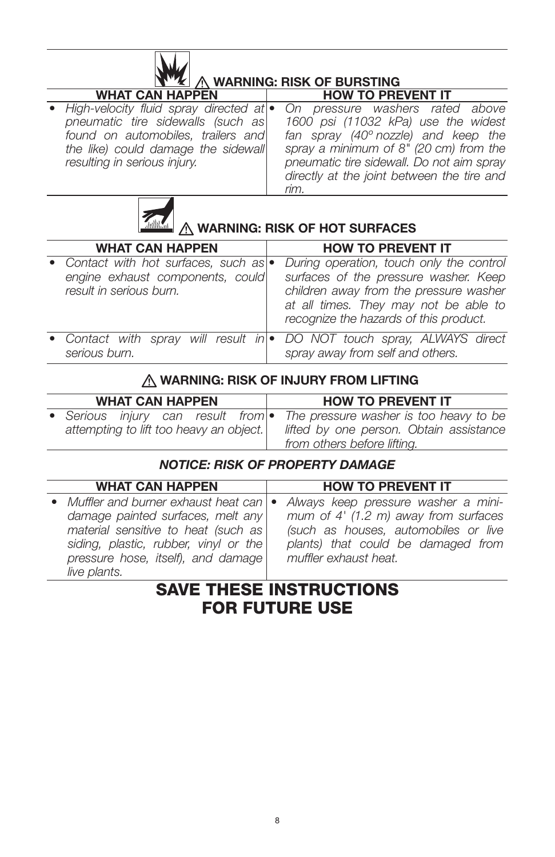| <b>NEW</b> A WARNING: RISK OF BURSTING |                                                                                                                                                                                                     |                                                                                                                                                                                                                                                                       |
|----------------------------------------|-----------------------------------------------------------------------------------------------------------------------------------------------------------------------------------------------------|-----------------------------------------------------------------------------------------------------------------------------------------------------------------------------------------------------------------------------------------------------------------------|
|                                        | <b>WHAT CAN HAPPEN</b>                                                                                                                                                                              | <b>HOW TO PREVENT IT</b>                                                                                                                                                                                                                                              |
|                                        | • High-velocity fluid spray directed at $\bullet$<br>pneumatic tire sidewalls (such as<br>found on automobiles, trailers and<br>the like) could damage the sidewall<br>resulting in serious injury. | On pressure washers rated above<br>1600 psi (11032 kPa) use the widest<br>fan spray $(40^{\circ}$ nozzle) and keep the<br>spray a minimum of $8"$ (20 cm) from the<br>pneumatic tire sidewall. Do not aim spray<br>directly at the joint between the tire and<br>rim. |



 $\mathbf{M}$ 

# **WARNING: RISK OF HOT SURFACES**

| <b>WHAT CAN HAPPEN</b>                                                                                 | <b>HOW TO PREVENT IT</b>                                                                                                                                                                                       |
|--------------------------------------------------------------------------------------------------------|----------------------------------------------------------------------------------------------------------------------------------------------------------------------------------------------------------------|
| • Contact with hot surfaces, such as  •<br>engine exhaust components, could<br>result in serious burn. | During operation, touch only the control<br>surfaces of the pressure washer. Keep<br>children away from the pressure washer<br>at all times. They may not be able to<br>recognize the hazards of this product. |
| serious burn.                                                                                          | • Contact with spray will result in • DO NOT touch spray, ALWAYS direct<br>spray away from self and others.                                                                                                    |

### A WARNING: RISK OF INJURY FROM LIFTING

| <b>WHAT CAN HAPPEN</b>                     |  |  |  |  | <b>HOW TO PREVENT IT</b>                |
|--------------------------------------------|--|--|--|--|-----------------------------------------|
| • Serious injury can result from $\bullet$ |  |  |  |  | The pressure washer is too heavy to be  |
| attempting to lift too heavy an object.    |  |  |  |  | lifted by one person. Obtain assistance |
|                                            |  |  |  |  | from others before lifting.             |

#### *NOTICE: RISK OF PROPERTY DAMAGE*

| <b>WHAT CAN HAPPEN</b>                                                                                                                                                                                                | <b>HOW TO PREVENT IT</b>                                                                                                                                                             |
|-----------------------------------------------------------------------------------------------------------------------------------------------------------------------------------------------------------------------|--------------------------------------------------------------------------------------------------------------------------------------------------------------------------------------|
| • Muffler and burner exhaust heat can   •<br>damage painted surfaces, melt any<br>material sensitive to heat (such as)<br>siding, plastic, rubber, vinyl or the<br>pressure hose, itself), and damage<br>live plants. | Always keep pressure washer a mini-<br>mum of $4'$ (1.2 m) away from surfaces<br>(such as houses, automobiles or live<br>plants) that could be damaged from<br>muffler exhaust heat. |

## SAVE THESE INSTRUCTIONS FOR FUTURE USE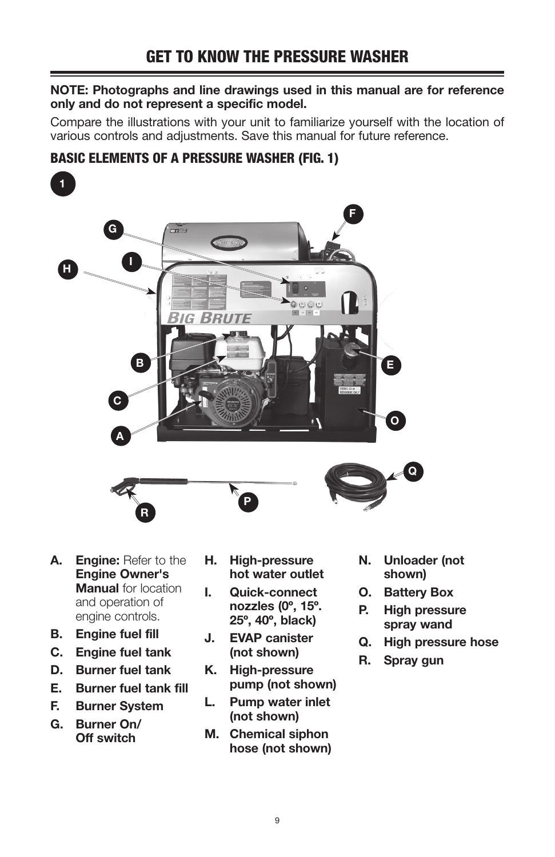#### NOTE: Photographs and line drawings used in this manual are for reference only and do not represent a specific model.

Compare the illustrations with your unit to familiarize yourself with the location of various controls and adjustments. Save this manual for future reference.

## BASIC ELEMENTS OF A PRESSURE WASHER (FIG. 1)



- A. Engine: Refer to the Engine Owner's **Manual** for location and operation of engine controls.
- B. Engine fuel fill
- C. Engine fuel tank
- D. Burner fuel tank
- E. Burner fuel tank fill
- F. Burner System
- G. Burner On/ Off switch
- H. High-pressure hot water outlet
- I. Quick-connect nozzles (0º, 15º. 25º, 40º, black)
- J. EVAP canister (not shown)
- K. High-pressure pump (not shown)
- L. Pump water inlet (not shown)
- M. Chemical siphon hose (not shown)
- N. Unloader (not shown)
- O. Battery Box
- P. High pressure spray wand
- Q. High pressure hose
- R. Spray gun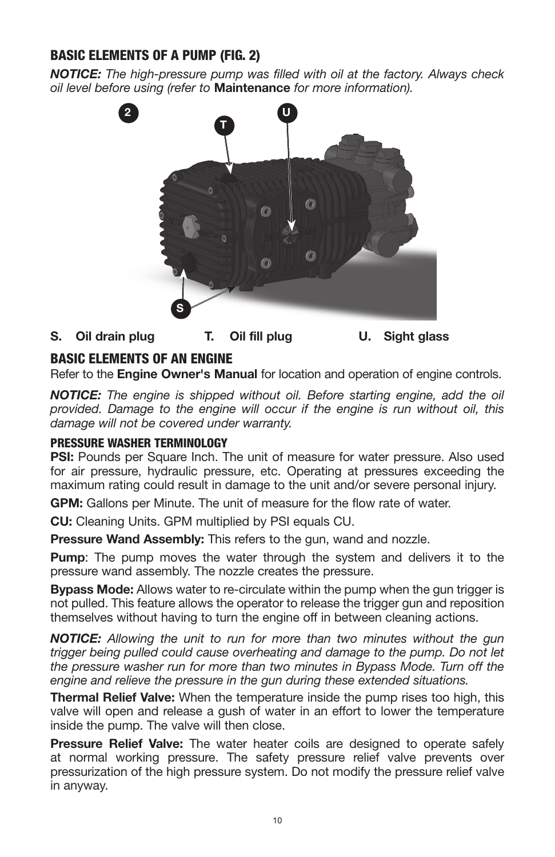## BASIC ELEMENTS OF A PUMP (FIG. 2)

*NOTICE: The high-pressure pump was filled with oil at the factory. Always check oil level before using (refer to* Maintenance *for more information).*



S. Oil drain plug T. Oil fill plug U. Sight glass

### BASIC ELEMENTS OF AN ENGINE

Refer to the **Engine Owner's Manual** for location and operation of engine controls.

*NOTICE: The engine is shipped without oil. Before starting engine, add the oil provided. Damage to the engine will occur if the engine is run without oil, this damage will not be covered under warranty.*

#### PRESSURE WASHER TERMINOLOGY

PSI: Pounds per Square Inch. The unit of measure for water pressure. Also used for air pressure, hydraulic pressure, etc. Operating at pressures exceeding the maximum rating could result in damage to the unit and/or severe personal injury.

GPM: Gallons per Minute. The unit of measure for the flow rate of water.

CU: Cleaning Units. GPM multiplied by PSI equals CU.

**Pressure Wand Assembly:** This refers to the gun, wand and nozzle.

**Pump:** The pump moves the water through the system and delivers it to the pressure wand assembly. The nozzle creates the pressure.

Bypass Mode: Allows water to re-circulate within the pump when the gun trigger is not pulled. This feature allows the operator to release the trigger gun and reposition themselves without having to turn the engine off in between cleaning actions.

*NOTICE: Allowing the unit to run for more than two minutes without the gun trigger being pulled could cause overheating and damage to the pump. Do not let the pressure washer run for more than two minutes in Bypass Mode. Turn off the engine and relieve the pressure in the gun during these extended situations.*

Thermal Relief Valve: When the temperature inside the pump rises too high, this valve will open and release a gush of water in an effort to lower the temperature inside the pump. The valve will then close.

**Pressure Relief Valve:** The water heater coils are designed to operate safely at normal working pressure. The safety pressure relief valve prevents over pressurization of the high pressure system. Do not modify the pressure relief valve in anyway.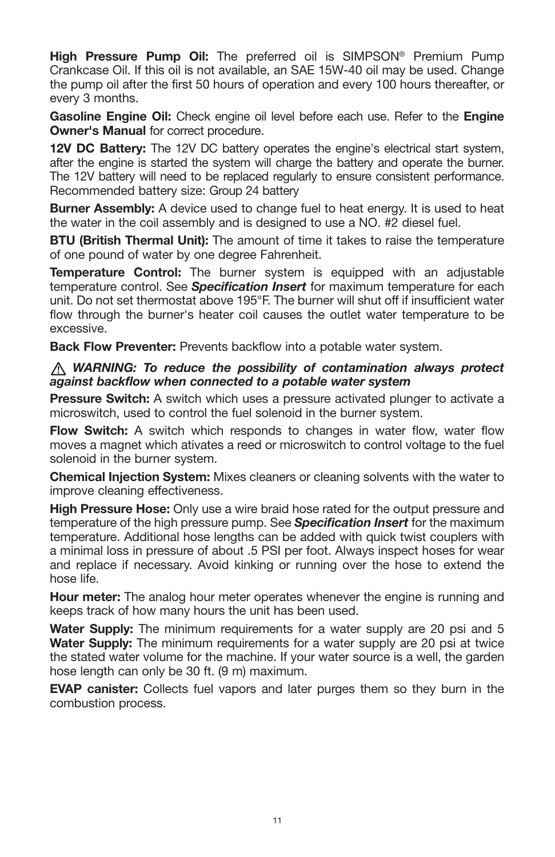High Pressure Pump Oil: The preferred oil is SIMPSON<sup>®</sup> Premium Pump Crankcase Oil. If this oil is not available, an SAE 15W-40 oil may be used. Change the pump oil after the first 50 hours of operation and every 100 hours thereafter, or every 3 months.

Gasoline Engine Oil: Check engine oil level before each use. Refer to the Engine **Owner's Manual for correct procedure.** 

12V DC Battery: The 12V DC battery operates the engine's electrical start system, after the engine is started the system will charge the battery and operate the burner. The 12V battery will need to be replaced regularly to ensure consistent performance. Recommended battery size: Group 24 battery

**Burner Assembly:** A device used to change fuel to heat energy. It is used to heat the water in the coil assembly and is designed to use a NO. #2 diesel fuel.

**BTU (British Thermal Unit):** The amount of time it takes to raise the temperature of one pound of water by one degree Fahrenheit.

**Temperature Control:** The burner system is equipped with an adjustable temperature control. See *Specification Insert* for maximum temperature for each unit. Do not set thermostat above 195°F. The burner will shut off if insufficient water flow through the burner's heater coil causes the outlet water temperature to be excessive.

**Back Flow Preventer:** Prevents backflow into a potable water system.

#### *WARNING: To reduce the possibility of contamination always protect against backflow when connected to a potable water system*

**Pressure Switch:** A switch which uses a pressure activated plunger to activate a microswitch, used to control the fuel solenoid in the burner system.

Flow Switch: A switch which responds to changes in water flow, water flow moves a magnet which ativates a reed or microswitch to control voltage to the fuel solenoid in the burner system.

**Chemical Injection System:** Mixes cleaners or cleaning solvents with the water to improve cleaning effectiveness.

**High Pressure Hose:** Only use a wire braid hose rated for the output pressure and temperature of the high pressure pump. See *Specification Insert* for the maximum temperature. Additional hose lengths can be added with quick twist couplers with a minimal loss in pressure of about .5 PSI per foot. Always inspect hoses for wear and replace if necessary. Avoid kinking or running over the hose to extend the hose life.

**Hour meter:** The analog hour meter operates whenever the engine is running and keeps track of how many hours the unit has been used.

Water Supply: The minimum requirements for a water supply are 20 psi and 5 Water Supply: The minimum requirements for a water supply are 20 psi at twice the stated water volume for the machine. If your water source is a well, the garden hose length can only be 30 ft. (9 m) maximum.

**EVAP canister:** Collects fuel vapors and later purges them so they burn in the combustion process.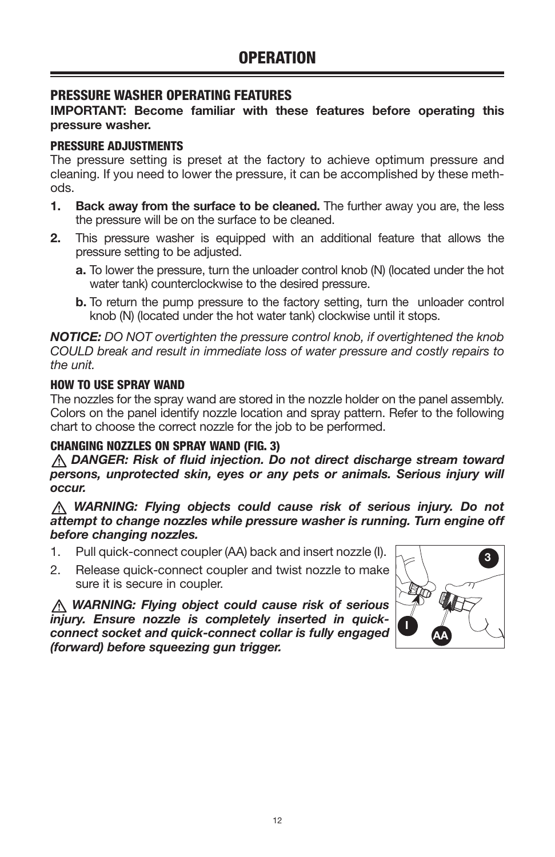#### PRESSURE WASHER OPERATING FEATURES

#### IMPORTANT: Become familiar with these features before operating this pressure washer.

#### PRESSURE ADJUSTMENTS

The pressure setting is preset at the factory to achieve optimum pressure and cleaning. If you need to lower the pressure, it can be accomplished by these methods.

- 1. Back away from the surface to be cleaned. The further away you are, the less the pressure will be on the surface to be cleaned.
- 2. This pressure washer is equipped with an additional feature that allows the pressure setting to be adjusted.
	- a. To lower the pressure, turn the unloader control knob (N) (located under the hot water tank) counterclockwise to the desired pressure.
	- **b.** To return the pump pressure to the factory setting, turn the unloader control knob (N) (located under the hot water tank) clockwise until it stops.

*NOTICE: DO NOT overtighten the pressure control knob, if overtightened the knob COULD break and result in immediate loss of water pressure and costly repairs to the unit.*

#### HOW TO USE SPRAY WAND

The nozzles for the spray wand are stored in the nozzle holder on the panel assembly. Colors on the panel identify nozzle location and spray pattern. Refer to the following chart to choose the correct nozzle for the job to be performed.

#### CHANGING NOZZLES ON SPRAY WAND (FIG. 3)

 *DANGER: Risk of fluid injection. Do not direct discharge stream toward persons, unprotected skin, eyes or any pets or animals. Serious injury will occur.*

 *WARNING: Flying objects could cause risk of serious injury. Do not attempt to change nozzles while pressure washer is running. Turn engine off before changing nozzles.*

- 1. Pull quick-connect coupler (AA) back and insert nozzle (I).  $\begin{bmatrix} 1 & 1 \\ 1 & 2 \end{bmatrix}$
- 2. Release quick-connect coupler and twist nozzle to make sure it is secure in coupler.

 *WARNING: Flying object could cause risk of serious injury. Ensure nozzle is completely inserted in quickconnect socket and quick-connect collar is fully engaged (forward) before squeezing gun trigger.*

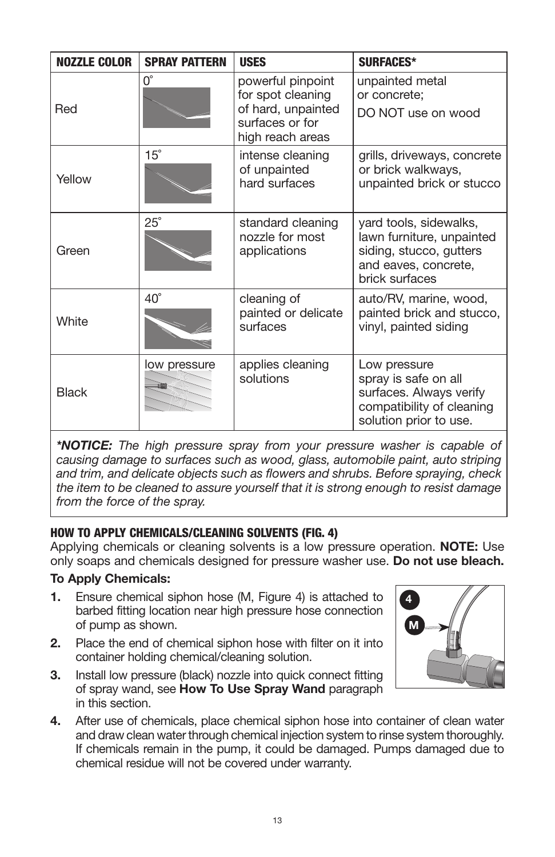| <b>NOZZLE COLOR</b> | <b>SPRAY PATTERN</b> | <b>USES</b>                                                                                         | <b>SURFACES*</b>                                                                                                         |
|---------------------|----------------------|-----------------------------------------------------------------------------------------------------|--------------------------------------------------------------------------------------------------------------------------|
| Red                 | $0^{\circ}$          | powerful pinpoint<br>for spot cleaning<br>of hard, unpainted<br>surfaces or for<br>high reach areas | unpainted metal<br>or concrete;<br>DO NOT use on wood                                                                    |
| Yellow              | $15^{\circ}$         | intense cleaning<br>of unpainted<br>hard surfaces                                                   | grills, driveways, concrete<br>or brick walkways,<br>unpainted brick or stucco                                           |
| Green               | $25^\circ$           | standard cleaning<br>nozzle for most<br>applications                                                | yard tools, sidewalks,<br>lawn furniture, unpainted<br>siding, stucco, gutters<br>and eaves, concrete,<br>brick surfaces |
| White               | $40^{\circ}$         | cleaning of<br>painted or delicate<br>surfaces                                                      | auto/RV, marine, wood,<br>painted brick and stucco,<br>vinyl, painted siding                                             |
| <b>Black</b>        | low pressure         | applies cleaning<br>solutions                                                                       | Low pressure<br>spray is safe on all<br>surfaces. Always verify<br>compatibility of cleaning<br>solution prior to use.   |

*\*NOTICE: The high pressure spray from your pressure washer is capable of causing damage to surfaces such as wood, glass, automobile paint, auto striping and trim, and delicate objects such as flowers and shrubs. Before spraying, check the item to be cleaned to assure yourself that it is strong enough to resist damage from the force of the spray.* 

#### HOW TO APPLY CHEMICALS/CLEANING SOLVENTS (FIG. 4)

Applying chemicals or cleaning solvents is a low pressure operation. **NOTE:** Use only soaps and chemicals designed for pressure washer use. Do not use bleach.

#### To Apply Chemicals:

- 1. Ensure chemical siphon hose (M, Figure 4) is attached to barbed fitting location near high pressure hose connection of pump as shown.
- 2. Place the end of chemical siphon hose with filter on it into container holding chemical/cleaning solution.
- 3. Install low pressure (black) nozzle into quick connect fitting of spray wand, see How To Use Spray Wand paragraph in this section.
- 4. After use of chemicals, place chemical siphon hose into container of clean water and draw clean water through chemical injection system to rinse system thoroughly. If chemicals remain in the pump, it could be damaged. Pumps damaged due to chemical residue will not be covered under warranty.

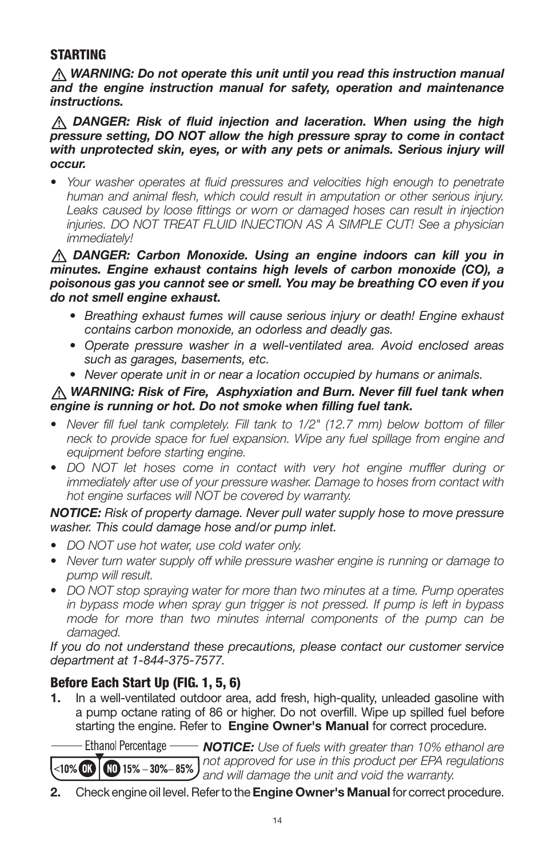#### **STARTING**

 *WARNING: Do not operate this unit until you read this instruction manual and the engine instruction manual for safety, operation and maintenance instructions.*

 *DANGER: Risk of fluid injection and laceration. When using the high pressure setting, DO NOT allow the high pressure spray to come in contact*  with unprotected skin, eyes, or with any pets or animals. Serious injury will *occur.*

*• Your washer operates at fluid pressures and velocities high enough to penetrate human and animal flesh, which could result in amputation or other serious injury. Leaks caused by loose fittings or worn or damaged hoses can result in injection injuries. DO NOT TREAT FLUID INJECTION AS A SIMPLE CUT! See a physician immediately!*

#### *DANGER: Carbon Monoxide. Using an engine indoors can kill you in minutes. Engine exhaust contains high levels of carbon monoxide (CO), a poisonous gas you cannot see or smell. You may be breathing CO even if you do not smell engine exhaust.*

- *• Breathing exhaust fumes will cause serious injury or death! Engine exhaust contains carbon monoxide, an odorless and deadly gas.*
- *• Operate pressure washer in a well-ventilated area. Avoid enclosed areas such as garages, basements, etc.*
- *• Never operate unit in or near a location occupied by humans or animals.*

#### *WARNING: Risk of Fire, Asphyxiation and Burn. Never fill fuel tank when engine is running or hot. Do not smoke when filling fuel tank.*

- *• Never fill fuel tank completely. Fill tank to 1/2" (12.7 mm) below bottom of filler neck to provide space for fuel expansion. Wipe any fuel spillage from engine and equipment before starting engine.*
- *• DO NOT let hoses come in contact with very hot engine muffler during or immediately after use of your pressure washer. Damage to hoses from contact with hot engine surfaces will NOT be covered by warranty.*

#### *NOTICE: Risk of property damage. Never pull water supply hose to move pressure washer. This could damage hose and/or pump inlet.*

- *• DO NOT use hot water, use cold water only.*
- *• Never turn water supply off while pressure washer engine is running or damage to pump will result.*
- *• DO NOT stop spraying water for more than two minutes at a time. Pump operates in bypass mode when spray gun trigger is not pressed. If pump is left in bypass*  mode for more than two minutes internal components of the pump can be *damaged.*

*If you do not understand these precautions, please contact our customer service department at 1-844-375-7577.*

### Before Each Start Up (FIG. 1, 5, 6)

1. In a well-ventilated outdoor area, add fresh, high-quality, unleaded gasoline with a pump octane rating of 86 or higher. Do not overfill. Wipe up spilled fuel before starting the engine. Refer to Engine Owner's Manual for correct procedure.

- Ethanol Percentage — *NOTICE: Use of fuels with greater than 10% ethanol are not approved for use in this product per EPA regulations*   $<$ 10%  $\blacksquare$  $MD$  15%  $-$  30% $-$  85% *and will damage the unit and void the warranty.*

2. Check engine oil level. Refer to the Engine Owner's Manual for correct procedure.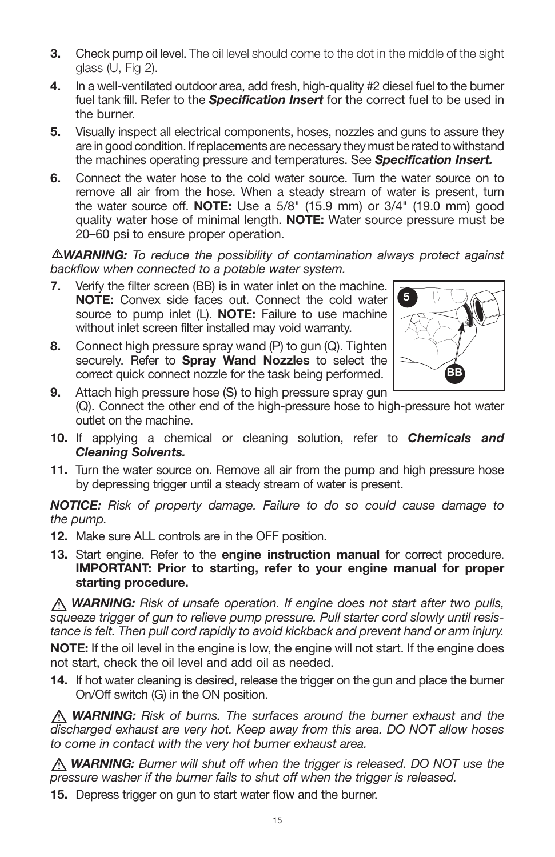- **3.** Check pump oil level. The oil level should come to the dot in the middle of the sight glass (U, Fig 2).
- 4. In a well-ventilated outdoor area, add fresh, high-quality #2 diesel fuel to the burner fuel tank fill. Refer to the *Specification Insert* for the correct fuel to be used in the burner.
- 5. Visually inspect all electrical components, hoses, nozzles and guns to assure they are in good condition. If replacements are necessary they must be rated to withstand the machines operating pressure and temperatures. See *Specification Insert.*
- 6. Connect the water hose to the cold water source. Turn the water source on to remove all air from the hose. When a steady stream of water is present, turn the water source off. **NOTE:** Use a  $5/8$ " (15.9 mm) or  $3/4$ " (19.0 mm) good quality water hose of minimal length. NOTE: Water source pressure must be 20–60 psi to ensure proper operation.

*WARNING: To reduce the possibility of contamination always protect against backflow when connected to a potable water system.*

- 7. Verify the filter screen (BB) is in water inlet on the machine. NOTE: Convex side faces out. Connect the cold water source to pump inlet  $(L)$ . **NOTE:** Failure to use machine without inlet screen filter installed may void warranty.
- 8. Connect high pressure spray wand  $(P)$  to gun  $(Q)$ . Tighten securely. Refer to Spray Wand Nozzles to select the correct quick connect nozzle for the task being performed.



- 9. Attach high pressure hose (S) to high pressure spray gun (Q). Connect the other end of the high-pressure hose to high-pressure hot water outlet on the machine.
- 10. If applying a chemical or cleaning solution, refer to *Chemicals and Cleaning Solvents.*
- 11. Turn the water source on. Remove all air from the pump and high pressure hose by depressing trigger until a steady stream of water is present.

*NOTICE: Risk of property damage. Failure to do so could cause damage to the pump.*

- 12. Make sure ALL controls are in the OFF position.
- 13. Start engine. Refer to the engine instruction manual for correct procedure. IMPORTANT: Prior to starting, refer to your engine manual for proper starting procedure.

*WARNING: Risk of unsafe operation. If engine does not start after two pulls, squeeze trigger of gun to relieve pump pressure. Pull starter cord slowly until resistance is felt. Then pull cord rapidly to avoid kickback and prevent hand or arm injury.*

NOTE: If the oil level in the engine is low, the engine will not start. If the engine does not start, check the oil level and add oil as needed.

14. If hot water cleaning is desired, release the trigger on the gun and place the burner On/Off switch (G) in the ON position.

*WARNING: Risk of burns. The surfaces around the burner exhaust and the discharged exhaust are very hot. Keep away from this area. DO NOT allow hoses to come in contact with the very hot burner exhaust area.*

*WARNING: Burner will shut off when the trigger is released. DO NOT use the pressure washer if the burner fails to shut off when the trigger is released.*

15. Depress trigger on gun to start water flow and the burner.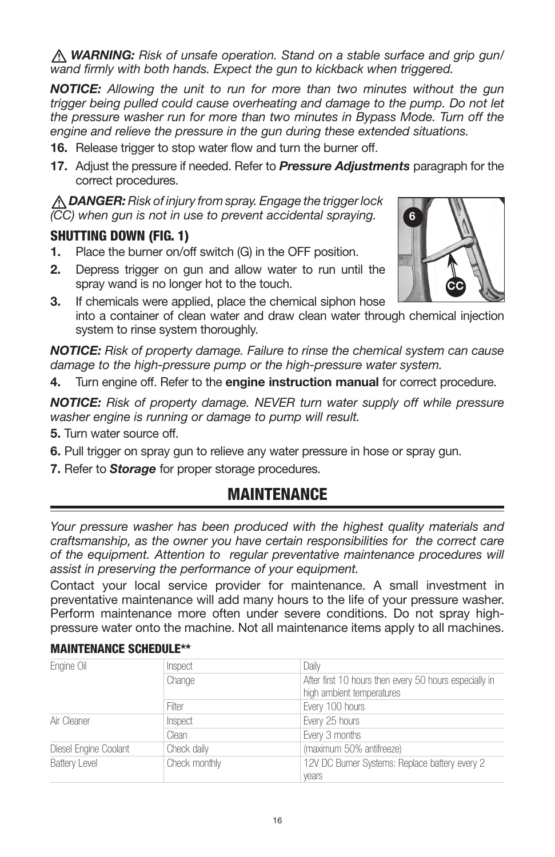*WARNING: Risk of unsafe operation. Stand on a stable surface and grip gun/ wand firmly with both hands. Expect the gun to kickback when triggered.*

*NOTICE: Allowing the unit to run for more than two minutes without the gun*  trigger being pulled could cause overheating and damage to the pump. Do not let *the pressure washer run for more than two minutes in Bypass Mode. Turn off the engine and relieve the pressure in the gun during these extended situations.*

- 16. Release trigger to stop water flow and turn the burner off.
- 17. Adjust the pressure if needed. Refer to *Pressure Adjustments* paragraph for the correct procedures.

*DANGER: Risk of injury from spray. Engage the trigger lock (CC) when gun is not in use to prevent accidental spraying.*

#### SHUTTING DOWN (FIG. 1)

- 1. Place the burner on/off switch (G) in the OFF position.
- 2. Depress trigger on gun and allow water to run until the spray wand is no longer hot to the touch.
- 3. If chemicals were applied, place the chemical siphon hose into a container of clean water and draw clean water through chemical injection system to rinse system thoroughly.

*NOTICE: Risk of property damage. Failure to rinse the chemical system can cause damage to the high-pressure pump or the high-pressure water system.*

4. Turn engine off. Refer to the engine instruction manual for correct procedure.

*NOTICE: Risk of property damage. NEVER turn water supply off while pressure washer engine is running or damage to pump will result.*

- 5. Turn water source off.
- 6. Pull trigger on spray gun to relieve any water pressure in hose or spray gun.
- 7. Refer to *Storage* for proper storage procedures.

## MAINTENANCE

Your pressure washer has been produced with the highest quality materials and *craftsmanship, as the owner you have certain responsibilities for the correct care of the equipment. Attention to regular preventative maintenance procedures will assist in preserving the performance of your equipment.*

Contact your local service provider for maintenance. A small investment in preventative maintenance will add many hours to the life of your pressure washer. Perform maintenance more often under severe conditions. Do not spray highpressure water onto the machine. Not all maintenance items apply to all machines.

| <b>MAINTENANCE SCHEDULE**</b> |  |
|-------------------------------|--|
|-------------------------------|--|

| Engine Oil            | Inspect       | Daily                                                                               |
|-----------------------|---------------|-------------------------------------------------------------------------------------|
|                       | Change        | After first 10 hours then every 50 hours especially in<br>high ambient temperatures |
|                       | Filter        | Every 100 hours                                                                     |
| Air Cleaner           | Inspect       | Every 25 hours                                                                      |
|                       | Clean         | Every 3 months                                                                      |
| Diesel Engine Coolant | Check daily   | (maximum 50% antifreeze)                                                            |
| <b>Battery Level</b>  | Check monthly | 12V DC Burner Systems: Replace battery every 2<br>years                             |

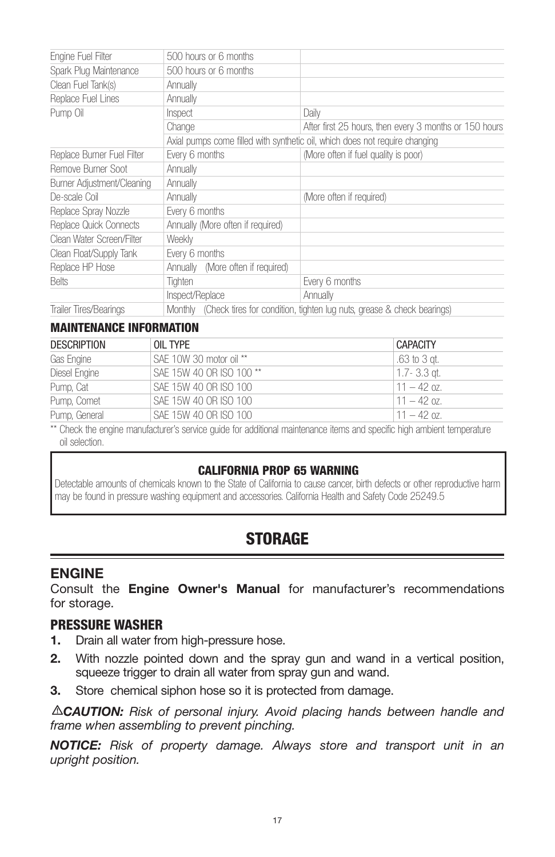| Engine Fuel Filter            | 500 hours or 6 months             |                                                                             |
|-------------------------------|-----------------------------------|-----------------------------------------------------------------------------|
| Spark Plug Maintenance        | 500 hours or 6 months             |                                                                             |
| Clean Fuel Tank(s)            | Annually                          |                                                                             |
| Replace Fuel Lines            | Annually                          |                                                                             |
| Pump Oil                      | Inspect                           | Daily                                                                       |
|                               | Change                            | After first 25 hours, then every 3 months or 150 hours                      |
|                               |                                   | Axial pumps come filled with synthetic oil, which does not require changing |
| Replace Burner Fuel Filter    | Every 6 months                    | (More often if fuel quality is poor)                                        |
| Remove Burner Soot            | Annually                          |                                                                             |
| Burner Adjustment/Cleaning    | Annually                          |                                                                             |
| De-scale Coil                 | Annually                          | (More often if required)                                                    |
| Replace Spray Nozzle          | Every 6 months                    |                                                                             |
| Replace Quick Connects        | Annually (More often if required) |                                                                             |
| Clean Water Screen/Filter     | Weekly                            |                                                                             |
| Clean Float/Supply Tank       | Every 6 months                    |                                                                             |
| Replace HP Hose               | Annually (More often if required) |                                                                             |
| <b>Belts</b>                  | Tighten                           | Every 6 months                                                              |
|                               | Inspect/Replace                   | Annually                                                                    |
| <b>Trailer Tires/Bearings</b> | Monthly                           | (Check tires for condition, tighten lug nuts, grease & check bearings)      |

#### MAINTENANCE INFORMATION

| <b>DESCRIPTION</b> | OIL TYPE                 | <b>CAPACITY</b> |
|--------------------|--------------------------|-----------------|
| Gas Engine         | SAE 10W 30 motor oil **  | .63 to 3 at.    |
| Diesel Engine      | SAE 15W 40 OR ISO 100 ** | 1.7- 3.3 at.    |
| Pump, Cat          | SAE 15W 40 OR ISO 100    | $11 - 42$ oz.   |
| Pump, Comet        | SAE 15W 40 OR ISO 100    | $11 - 42$ oz.   |
| Pump, General      | SAE 15W 40 OR ISO 100    | $11 - 42$ oz.   |

Check the engine manufacturer's service guide for additional maintenance items and specific high ambient temperature oil selection.

#### CALIFORNIA PROP 65 WARNING

Detectable amounts of chemicals known to the State of California to cause cancer, birth defects or other reproductive harm may be found in pressure washing equipment and accessories. California Health and Safety Code 25249.5

## **STORAGE**

#### ENGINE

Consult the Engine Owner's Manual for manufacturer's recommendations for storage.

#### PRESSURE WASHER

- 1. Drain all water from high-pressure hose.
- 2. With nozzle pointed down and the spray gun and wand in a vertical position, squeeze trigger to drain all water from spray gun and wand.
- **3.** Store chemical siphon hose so it is protected from damage.

*CAUTION: Risk of personal injury. Avoid placing hands between handle and frame when assembling to prevent pinching.*

*NOTICE: Risk of property damage. Always store and transport unit in an upright position.*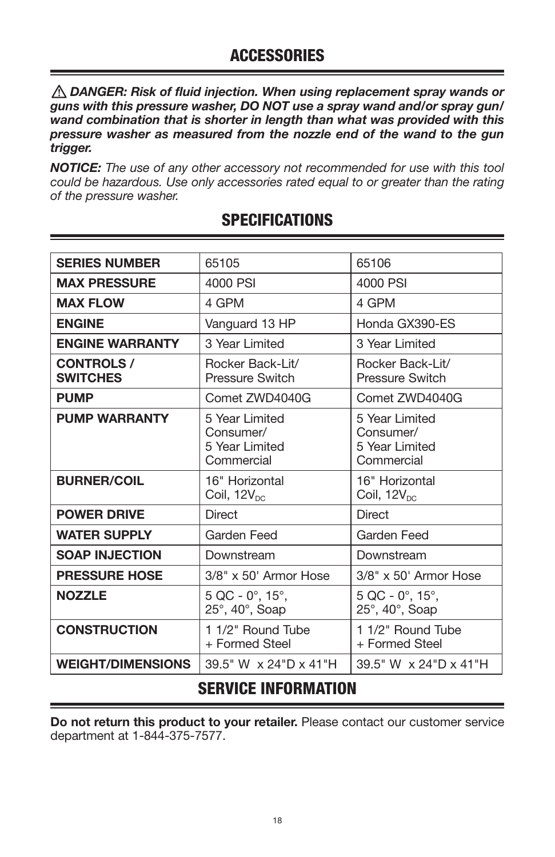*DANGER: Risk of fluid injection. When using replacement spray wands or guns with this pressure washer, DO NOT use a spray wand and/or spray gun/ wand combination that is shorter in length than what was provided with this pressure washer as measured from the nozzle end of the wand to the gun trigger.*

*NOTICE: The use of any other accessory not recommended for use with this tool could be hazardous. Use only accessories rated equal to or greater than the rating of the pressure washer.*

| 4000 PSI<br>4000 PSI<br><b>MAX PRESSURE</b><br><b>MAX FLOW</b><br>4 GPM<br>4 GPM<br>Honda GX390-ES<br><b>ENGINE</b><br>Vanguard 13 HP<br><b>ENGINE WARRANTY</b><br>3 Year Limited<br>3 Year Limited<br><b>CONTROLS /</b><br>Rocker Back-Lit/<br>Rocker Back-Lit/<br><b>SWITCHES</b><br><b>Pressure Switch</b><br><b>Pressure Switch</b><br><b>PUMP</b><br>Comet ZWD4040G<br>Comet ZWD4040G<br><b>PUMP WARRANTY</b><br>5 Year Limited<br>5 Year Limited<br>Consumer/<br>Consumer/<br>5 Year Limited<br>5 Year Limited<br>Commercial<br>Commercial<br><b>BURNER/COIL</b><br>16" Horizontal<br>16" Horizontal<br>Coil, $12V_{DC}$<br>Coil, $12V_{DC}$<br><b>POWER DRIVE</b><br>Direct<br>Direct<br><b>WATER SUPPLY</b><br>Garden Feed<br>Garden Feed<br><b>SOAP INJECTION</b><br>Downstream<br>Downstream<br><b>PRESSURE HOSE</b><br>$3/8" \times 50'$ Armor Hose<br>$3/8" \times 50'$ Armor Hose<br><b>NOZZLE</b><br>$5$ QC - 0 $^{\circ}$ , 15 $^{\circ}$ ,<br>$5$ QC - 0 $^{\circ}$ , 15 $^{\circ}$ ,<br>$25^\circ$ , 40 $^\circ$ , Soap<br>$25^\circ$ , 40 $^\circ$ , Soap<br><b>CONSTRUCTION</b><br>1 1/2" Round Tube<br>1 1/2" Round Tube<br>+ Formed Steel<br>+ Formed Steel<br><b>WEIGHT/DIMENSIONS</b><br>39.5" W x 24"D x 41"H<br>39.5" W x 24"D x 41"H | <b>SERIES NUMBER</b> | 65105 | 65106 |
|----------------------------------------------------------------------------------------------------------------------------------------------------------------------------------------------------------------------------------------------------------------------------------------------------------------------------------------------------------------------------------------------------------------------------------------------------------------------------------------------------------------------------------------------------------------------------------------------------------------------------------------------------------------------------------------------------------------------------------------------------------------------------------------------------------------------------------------------------------------------------------------------------------------------------------------------------------------------------------------------------------------------------------------------------------------------------------------------------------------------------------------------------------------------------------------------------------------------------------------------------------------|----------------------|-------|-------|
|                                                                                                                                                                                                                                                                                                                                                                                                                                                                                                                                                                                                                                                                                                                                                                                                                                                                                                                                                                                                                                                                                                                                                                                                                                                                |                      |       |       |
|                                                                                                                                                                                                                                                                                                                                                                                                                                                                                                                                                                                                                                                                                                                                                                                                                                                                                                                                                                                                                                                                                                                                                                                                                                                                |                      |       |       |
|                                                                                                                                                                                                                                                                                                                                                                                                                                                                                                                                                                                                                                                                                                                                                                                                                                                                                                                                                                                                                                                                                                                                                                                                                                                                |                      |       |       |
|                                                                                                                                                                                                                                                                                                                                                                                                                                                                                                                                                                                                                                                                                                                                                                                                                                                                                                                                                                                                                                                                                                                                                                                                                                                                |                      |       |       |
|                                                                                                                                                                                                                                                                                                                                                                                                                                                                                                                                                                                                                                                                                                                                                                                                                                                                                                                                                                                                                                                                                                                                                                                                                                                                |                      |       |       |
|                                                                                                                                                                                                                                                                                                                                                                                                                                                                                                                                                                                                                                                                                                                                                                                                                                                                                                                                                                                                                                                                                                                                                                                                                                                                |                      |       |       |
|                                                                                                                                                                                                                                                                                                                                                                                                                                                                                                                                                                                                                                                                                                                                                                                                                                                                                                                                                                                                                                                                                                                                                                                                                                                                |                      |       |       |
|                                                                                                                                                                                                                                                                                                                                                                                                                                                                                                                                                                                                                                                                                                                                                                                                                                                                                                                                                                                                                                                                                                                                                                                                                                                                |                      |       |       |
|                                                                                                                                                                                                                                                                                                                                                                                                                                                                                                                                                                                                                                                                                                                                                                                                                                                                                                                                                                                                                                                                                                                                                                                                                                                                |                      |       |       |
|                                                                                                                                                                                                                                                                                                                                                                                                                                                                                                                                                                                                                                                                                                                                                                                                                                                                                                                                                                                                                                                                                                                                                                                                                                                                |                      |       |       |
|                                                                                                                                                                                                                                                                                                                                                                                                                                                                                                                                                                                                                                                                                                                                                                                                                                                                                                                                                                                                                                                                                                                                                                                                                                                                |                      |       |       |
|                                                                                                                                                                                                                                                                                                                                                                                                                                                                                                                                                                                                                                                                                                                                                                                                                                                                                                                                                                                                                                                                                                                                                                                                                                                                |                      |       |       |
|                                                                                                                                                                                                                                                                                                                                                                                                                                                                                                                                                                                                                                                                                                                                                                                                                                                                                                                                                                                                                                                                                                                                                                                                                                                                |                      |       |       |
|                                                                                                                                                                                                                                                                                                                                                                                                                                                                                                                                                                                                                                                                                                                                                                                                                                                                                                                                                                                                                                                                                                                                                                                                                                                                |                      |       |       |
|                                                                                                                                                                                                                                                                                                                                                                                                                                                                                                                                                                                                                                                                                                                                                                                                                                                                                                                                                                                                                                                                                                                                                                                                                                                                |                      |       |       |

## **SPECIFICATIONS**

## SERVICE INFORMATION

Do not return this product to your retailer. Please contact our customer service department at 1-844-375-7577.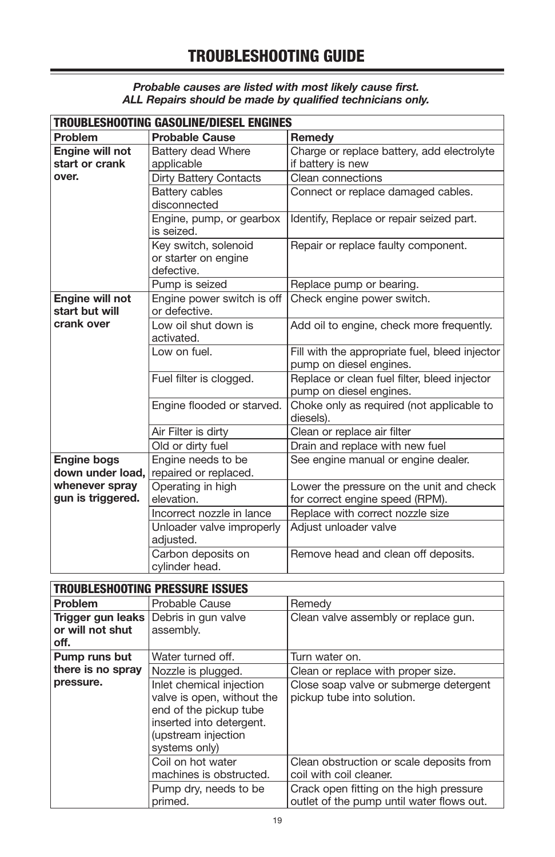#### *Probable causes are listed with most likely cause first. ALL Repairs should be made by qualified technicians only.*

|                                   | Troubleshooting Gasoline/Diesel Engines                    |                                                                           |  |  |
|-----------------------------------|------------------------------------------------------------|---------------------------------------------------------------------------|--|--|
| Problem                           | <b>Probable Cause</b>                                      | Remedy                                                                    |  |  |
| Engine will not<br>start or crank | Battery dead Where<br>applicable                           | Charge or replace battery, add electrolyte<br>if battery is new           |  |  |
| over.                             | <b>Dirty Battery Contacts</b>                              | Clean connections                                                         |  |  |
|                                   | <b>Battery cables</b><br>disconnected                      | Connect or replace damaged cables.                                        |  |  |
|                                   | Engine, pump, or gearbox<br>is seized.                     | Identify, Replace or repair seized part.                                  |  |  |
|                                   | Key switch, solenoid<br>or starter on engine<br>defective. | Repair or replace faulty component.                                       |  |  |
|                                   | Pump is seized                                             | Replace pump or bearing.                                                  |  |  |
| Engine will not<br>start but will | Engine power switch is off<br>or defective.                | Check engine power switch.                                                |  |  |
| crank over                        | Low oil shut down is<br>activated.                         | Add oil to engine, check more frequently.                                 |  |  |
|                                   | I ow on fuel.                                              | Fill with the appropriate fuel, bleed injector<br>pump on diesel engines. |  |  |
|                                   | Fuel filter is clogged.                                    | Replace or clean fuel filter, bleed injector<br>pump on diesel engines.   |  |  |
|                                   | Engine flooded or starved.                                 | Choke only as required (not applicable to<br>diesels).                    |  |  |
|                                   | Air Filter is dirty                                        | Clean or replace air filter                                               |  |  |
|                                   | Old or dirty fuel                                          | Drain and replace with new fuel                                           |  |  |
| <b>Engine bogs</b>                | Engine needs to be                                         | See engine manual or engine dealer.                                       |  |  |
| down under load,                  | repaired or replaced.                                      |                                                                           |  |  |
| whenever spray                    | Operating in high                                          | Lower the pressure on the unit and check                                  |  |  |
| gun is triggered.                 | elevation.                                                 | for correct engine speed (RPM).                                           |  |  |
|                                   | Incorrect nozzle in lance                                  | Replace with correct nozzle size                                          |  |  |
|                                   | Unloader valve improperly<br>adjusted.                     | Adjust unloader valve                                                     |  |  |
|                                   | Carbon deposits on<br>cylinder head.                       | Remove head and clean off deposits.                                       |  |  |

## TROUBLESHOOTING PRESSURE ISSUES

| Problem           | Probable Cause                                                                                                                                       | Remedv                                                                               |
|-------------------|------------------------------------------------------------------------------------------------------------------------------------------------------|--------------------------------------------------------------------------------------|
| Trigger gun leaks | Debris in gun valve                                                                                                                                  | Clean valve assembly or replace gun.                                                 |
| or will not shut  | assembly.                                                                                                                                            |                                                                                      |
| off.              |                                                                                                                                                      |                                                                                      |
| Pump runs but     | Water turned off.                                                                                                                                    | Turn water on.                                                                       |
| there is no spray | Nozzle is plugged.                                                                                                                                   | Clean or replace with proper size.                                                   |
| pressure.         | Inlet chemical injection<br>valve is open, without the<br>end of the pickup tube<br>inserted into detergent.<br>(upstream injection<br>systems only) | Close soap valve or submerge detergent<br>pickup tube into solution.                 |
|                   | Coil on hot water<br>machines is obstructed.                                                                                                         | Clean obstruction or scale deposits from<br>coil with coil cleaner.                  |
|                   | Pump dry, needs to be<br>primed.                                                                                                                     | Crack open fitting on the high pressure<br>outlet of the pump until water flows out. |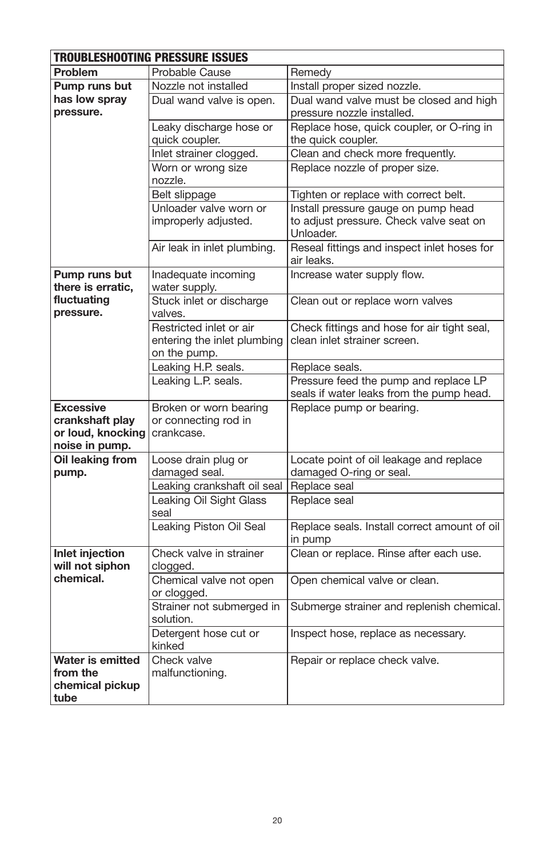| <b>TROUBLESHOOTING PRESSURE ISSUES</b> |                                        |                                                                                   |  |
|----------------------------------------|----------------------------------------|-----------------------------------------------------------------------------------|--|
| Problem                                | Probable Cause                         | Remedy                                                                            |  |
| Pump runs but                          | Nozzle not installed                   | Install proper sized nozzle.                                                      |  |
| has low spray                          | Dual wand valve is open.               | Dual wand valve must be closed and high                                           |  |
| pressure.                              |                                        | pressure nozzle installed.                                                        |  |
|                                        | Leaky discharge hose or                | Replace hose, quick coupler, or O-ring in                                         |  |
|                                        | quick coupler.                         | the quick coupler.                                                                |  |
|                                        | Inlet strainer clogged.                | Clean and check more frequently.                                                  |  |
|                                        | Worn or wrong size<br>nozzle.          | Replace nozzle of proper size.                                                    |  |
|                                        | Belt slippage                          | Tighten or replace with correct belt.                                             |  |
|                                        | Unloader valve worn or                 | Install pressure gauge on pump head                                               |  |
|                                        | improperly adjusted.                   | to adjust pressure. Check valve seat on<br>Unloader.                              |  |
|                                        | Air leak in inlet plumbing.            | Reseal fittings and inspect inlet hoses for<br>air leaks.                         |  |
| Pump runs but<br>there is erratic,     | Inadequate incoming<br>water supply.   | Increase water supply flow.                                                       |  |
| fluctuating<br>pressure.               | Stuck inlet or discharge<br>valves.    | Clean out or replace worn valves                                                  |  |
|                                        | Restricted inlet or air                | Check fittings and hose for air tight seal,                                       |  |
|                                        | entering the inlet plumbing            | clean inlet strainer screen.                                                      |  |
|                                        | on the pump.                           |                                                                                   |  |
|                                        | Leaking H.P. seals.                    | Replace seals.                                                                    |  |
|                                        | Leaking L.P. seals.                    | Pressure feed the pump and replace LP<br>seals if water leaks from the pump head. |  |
| <b>Excessive</b>                       | Broken or worn bearing                 | Replace pump or bearing.                                                          |  |
| crankshaft play                        | or connecting rod in                   |                                                                                   |  |
| or loud, knocking                      | crankcase.                             |                                                                                   |  |
| noise in pump.                         |                                        |                                                                                   |  |
| Oil leaking from                       | Loose drain plug or                    | Locate point of oil leakage and replace                                           |  |
| pump.                                  | damaged seal.                          | damaged O-ring or seal.                                                           |  |
|                                        | Leaking crankshaft oil seal            | Replace seal                                                                      |  |
|                                        | Leaking Oil Sight Glass<br>seal        | Replace seal                                                                      |  |
|                                        | Leaking Piston Oil Seal                | Replace seals. Install correct amount of oil<br>in pump                           |  |
| Inlet injection<br>will not siphon     | Check valve in strainer<br>clogged.    | Clean or replace. Rinse after each use.                                           |  |
| chemical.                              | Chemical valve not open<br>or clogged. | Open chemical valve or clean.                                                     |  |
|                                        | Strainer not submerged in<br>solution. | Submerge strainer and replenish chemical.                                         |  |
|                                        | Detergent hose cut or<br>kinked        | Inspect hose, replace as necessary.                                               |  |
| Water is emitted                       | Check valve                            | Repair or replace check valve.                                                    |  |
| from the                               | malfunctioning.                        |                                                                                   |  |
| chemical pickup                        |                                        |                                                                                   |  |
| tube                                   |                                        |                                                                                   |  |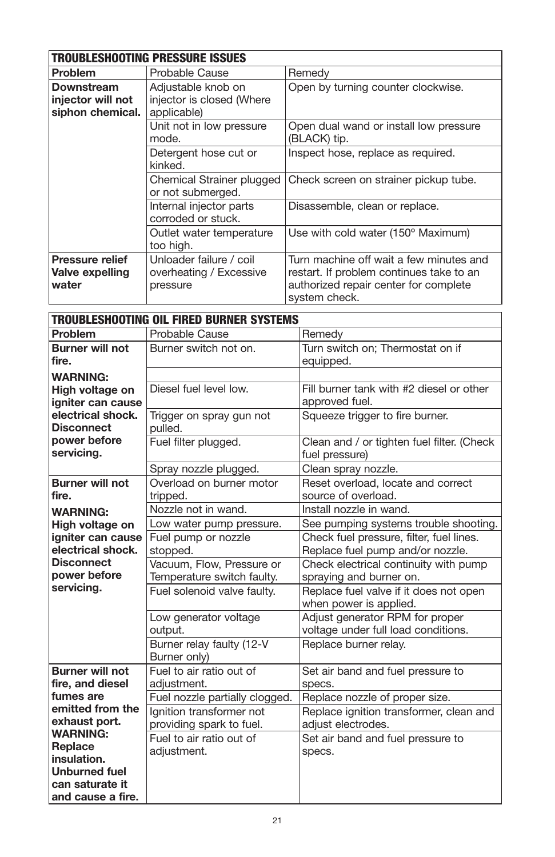|                                                     | <b>TROUBLESHOOTING PRESSURE ISSUES</b>                         |                                                                                                                                               |  |  |
|-----------------------------------------------------|----------------------------------------------------------------|-----------------------------------------------------------------------------------------------------------------------------------------------|--|--|
| <b>Problem</b>                                      | Probable Cause                                                 | Remedy                                                                                                                                        |  |  |
| Downstream<br>injector will not<br>siphon chemical. | Adjustable knob on<br>injector is closed (Where<br>applicable) | Open by turning counter clockwise.                                                                                                            |  |  |
|                                                     | Unit not in low pressure<br>mode.                              | Open dual wand or install low pressure<br>(BLACK) tip.                                                                                        |  |  |
|                                                     | Detergent hose cut or<br>kinked.                               | Inspect hose, replace as required.                                                                                                            |  |  |
|                                                     | Chemical Strainer plugged<br>or not submerged.                 | Check screen on strainer pickup tube.                                                                                                         |  |  |
|                                                     | Internal injector parts<br>corroded or stuck.                  | Disassemble, clean or replace.                                                                                                                |  |  |
|                                                     | Outlet water temperature<br>too high.                          | Use with cold water (150° Maximum)                                                                                                            |  |  |
| <b>Pressure relief</b><br>Valve expelling<br>water  | Unloader failure / coil<br>overheating / Excessive<br>pressure | Turn machine off wait a few minutes and<br>restart. If problem continues take to an<br>authorized repair center for complete<br>system check. |  |  |

| <b>TROUBLESHOOTING OIL FIRED BURNER SYSTEMS</b>              |                                           |                                                                  |  |  |
|--------------------------------------------------------------|-------------------------------------------|------------------------------------------------------------------|--|--|
| Problem                                                      | Probable Cause                            | Remedy                                                           |  |  |
| <b>Burner will not</b>                                       | Burner switch not on.                     | Turn switch on; Thermostat on if                                 |  |  |
| fire.                                                        |                                           | equipped.                                                        |  |  |
| <b>WARNING:</b>                                              |                                           |                                                                  |  |  |
| Diesel fuel level low.<br>High voltage on                    |                                           | Fill burner tank with #2 diesel or other                         |  |  |
| igniter can cause                                            |                                           | approved fuel.                                                   |  |  |
| electrical shock.                                            | Trigger on spray gun not                  | Squeeze trigger to fire burner.                                  |  |  |
| <b>Disconnect</b>                                            | pulled.                                   |                                                                  |  |  |
| power before                                                 | Fuel filter plugged.                      | Clean and / or tighten fuel filter. (Check                       |  |  |
| servicing.                                                   |                                           | fuel pressure)                                                   |  |  |
|                                                              | Spray nozzle plugged.                     | Clean spray nozzle.                                              |  |  |
| <b>Burner will not</b>                                       | Overload on burner motor                  | Reset overload, locate and correct                               |  |  |
| fire.                                                        | tripped.                                  | source of overload.                                              |  |  |
| <b>WARNING:</b>                                              | Nozzle not in wand.                       | Install nozzle in wand.                                          |  |  |
| High voltage on                                              | Low water pump pressure.                  | See pumping systems trouble shooting.                            |  |  |
| igniter can cause                                            | Fuel pump or nozzle                       | Check fuel pressure, filter, fuel lines.                         |  |  |
| electrical shock.<br><b>Disconnect</b>                       | stopped.                                  | Replace fuel pump and/or nozzle.                                 |  |  |
| power before                                                 | Vacuum, Flow, Pressure or                 | Check electrical continuity with pump                            |  |  |
| servicing.                                                   | Temperature switch faulty.                | spraying and burner on.                                          |  |  |
|                                                              | Fuel solenoid valve faulty.               | Replace fuel valve if it does not open<br>when power is applied. |  |  |
|                                                              | Low generator voltage                     | Adjust generator RPM for proper                                  |  |  |
|                                                              | output.                                   | voltage under full load conditions.                              |  |  |
|                                                              | Burner relay faulty (12-V<br>Burner only) | Replace burner relay.                                            |  |  |
| <b>Burner will not</b>                                       | Fuel to air ratio out of                  | Set air band and fuel pressure to                                |  |  |
| fire, and diesel                                             | adjustment.                               | specs.                                                           |  |  |
| fumes are                                                    | Fuel nozzle partially clogged.            | Replace nozzle of proper size.                                   |  |  |
| emitted from the                                             | Ignition transformer not                  | Replace ignition transformer, clean and                          |  |  |
| exhaust port.<br>providing spark to fuel.<br><b>WARNING:</b> |                                           | adjust electrodes.                                               |  |  |
| Replace                                                      | Fuel to air ratio out of                  | Set air band and fuel pressure to                                |  |  |
| insulation.                                                  | adjustment.                               | specs.                                                           |  |  |
| <b>Unburned fuel</b>                                         |                                           |                                                                  |  |  |
| can saturate it                                              |                                           |                                                                  |  |  |
| and cause a fire.                                            |                                           |                                                                  |  |  |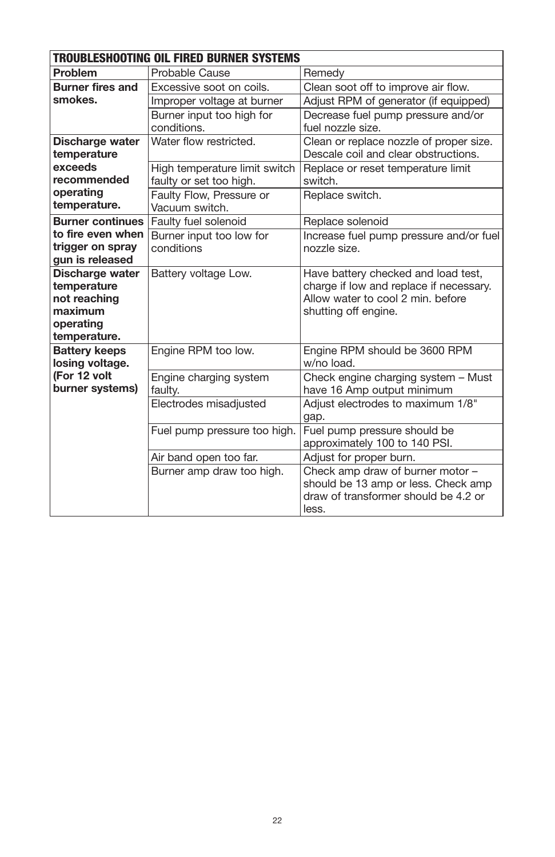| <b>TROUBLESHOOTING OIL FIRED BURNER SYSTEMS</b> |                               |                                                                              |  |  |
|-------------------------------------------------|-------------------------------|------------------------------------------------------------------------------|--|--|
| Problem                                         | Probable Cause                | Remedy                                                                       |  |  |
| <b>Burner fires and</b>                         | Excessive soot on coils.      | Clean soot off to improve air flow.                                          |  |  |
| smokes.                                         | Improper voltage at burner    | Adjust RPM of generator (if equipped)                                        |  |  |
|                                                 | Burner input too high for     | Decrease fuel pump pressure and/or                                           |  |  |
|                                                 | conditions.                   | fuel nozzle size.                                                            |  |  |
| Discharge water                                 | Water flow restricted.        | Clean or replace nozzle of proper size.                                      |  |  |
| temperature                                     |                               | Descale coil and clear obstructions.                                         |  |  |
| exceeds                                         | High temperature limit switch | Replace or reset temperature limit                                           |  |  |
| recommended                                     | faulty or set too high.       | switch.                                                                      |  |  |
| operating                                       | Faulty Flow, Pressure or      | Replace switch.                                                              |  |  |
| temperature.                                    | Vacuum switch.                |                                                                              |  |  |
| <b>Burner continues</b>                         | Faulty fuel solenoid          | Replace solenoid                                                             |  |  |
| to fire even when                               | Burner input too low for      | Increase fuel pump pressure and/or fuel                                      |  |  |
| trigger on spray                                | conditions                    | nozzle size.                                                                 |  |  |
| gun is released                                 |                               |                                                                              |  |  |
| Discharge water                                 | Battery voltage Low.          | Have battery checked and load test,                                          |  |  |
| temperature                                     |                               | charge if low and replace if necessary.<br>Allow water to cool 2 min. before |  |  |
| not reaching<br>maximum                         |                               | shutting off engine.                                                         |  |  |
| operating                                       |                               |                                                                              |  |  |
| temperature.                                    |                               |                                                                              |  |  |
| <b>Battery keeps</b>                            | Engine RPM too low.           | Engine RPM should be 3600 RPM                                                |  |  |
| losing voltage.                                 |                               | w/no load.                                                                   |  |  |
| (For 12 volt                                    | Engine charging system        | Check engine charging system - Must                                          |  |  |
| burner systems)                                 | faulty.                       | have 16 Amp output minimum                                                   |  |  |
|                                                 | Electrodes misadjusted        | Adjust electrodes to maximum 1/8"                                            |  |  |
|                                                 |                               | gap.                                                                         |  |  |
|                                                 | Fuel pump pressure too high.  | Fuel pump pressure should be                                                 |  |  |
|                                                 |                               | approximately 100 to 140 PSI.                                                |  |  |
|                                                 | Air band open too far.        | Adjust for proper burn.                                                      |  |  |
|                                                 | Burner amp draw too high.     | Check amp draw of burner motor -                                             |  |  |
|                                                 |                               | should be 13 amp or less. Check amp                                          |  |  |
|                                                 |                               | draw of transformer should be 4.2 or                                         |  |  |
|                                                 |                               | less.                                                                        |  |  |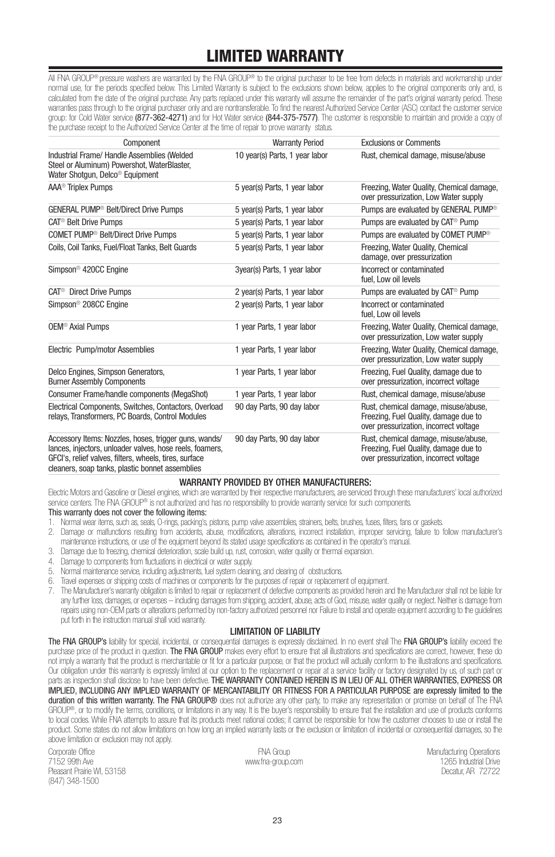## LIMITED WARRANTY

All FNA GROUP® pressure washers are warranted by the FNA GROUP® to the original purchaser to be free from defects in materials and workmanship under normal use, for the periods specified below. This Limited Warranty is subject to the exclusions shown below, applies to the original components only and, is calculated from the date of the original purchase. Any parts replaced under this warranty will assume the remainder of the part's original warranty period. These warranties pass through to the original purchaser only and are nontransferable. To find the nearest Authorized Service Center (ASC) contact the customer service group: for Cold Water service (877-362-4271) and for Hot Water service (844-375-7577). The customer is responsible to maintain and provide a copy of the purchase receipt to the Authorized Service Center at the time of repair to prove warranty status.

| Component                                                                                                                                                                   | <b>Warranty Period</b>         | <b>Exclusions or Comments</b>                                                                                           |
|-----------------------------------------------------------------------------------------------------------------------------------------------------------------------------|--------------------------------|-------------------------------------------------------------------------------------------------------------------------|
| Industrial Frame/ Handle Assemblies (Welded<br>Steel or Aluminum) Powershot, WaterBlaster,<br>Water Shotgun, Delco <sup>®</sup> Equipment                                   | 10 year(s) Parts, 1 year labor | Rust, chemical damage, misuse/abuse                                                                                     |
| AAA <sup>®</sup> Triplex Pumps                                                                                                                                              | 5 year(s) Parts, 1 year labor  | Freezing, Water Quality, Chemical damage.<br>over pressurization, Low Water supply                                      |
| <b>GENERAL PUMP<sup>®</sup> Belt/Direct Drive Pumps</b>                                                                                                                     | 5 year(s) Parts, 1 year labor  | Pumps are evaluated by GENERAL PUMP <sup>®</sup>                                                                        |
| CAT <sup>®</sup> Belt Drive Pumps                                                                                                                                           | 5 year(s) Parts, 1 year labor  | Pumps are evaluated by CAT <sup>®</sup> Pump                                                                            |
| COMET PUMP <sup>®</sup> Belt/Direct Drive Pumps                                                                                                                             | 5 year(s) Parts, 1 year labor  | Pumps are evaluated by COMET PUMP <sup>®</sup>                                                                          |
| Coils, Coil Tanks, Fuel/Float Tanks, Belt Guards                                                                                                                            | 5 year(s) Parts, 1 year labor  | Freezing, Water Quality, Chemical<br>damage, over pressurization                                                        |
| Simpson <sup>®</sup> 420CC Engine                                                                                                                                           | 3year(s) Parts, 1 year labor   | Incorrect or contaminated<br>fuel, Low oil levels                                                                       |
| CAT <sup>®</sup> Direct Drive Pumps                                                                                                                                         | 2 year(s) Parts, 1 year labor  | Pumps are evaluated by CAT <sup>®</sup> Pump                                                                            |
| Simpson <sup>®</sup> 208CC Engine                                                                                                                                           | 2 year(s) Parts, 1 year labor  | Incorrect or contaminated<br>fuel. Low oil levels                                                                       |
| <b>OEM<sup>®</sup></b> Axial Pumps                                                                                                                                          | 1 year Parts, 1 year labor     | Freezing, Water Quality, Chemical damage,<br>over pressurization, Low water supply                                      |
| Electric Pump/motor Assemblies                                                                                                                                              | 1 year Parts, 1 year labor     | Freezing, Water Quality, Chemical damage.<br>over pressurization, Low water supply                                      |
| Delco Engines, Simpson Generators,<br><b>Burner Assembly Components</b>                                                                                                     | 1 year Parts, 1 year labor     | Freezing, Fuel Quality, damage due to<br>over pressurization, incorrect voltage                                         |
| Consumer Frame/handle components (MegaShot)                                                                                                                                 | 1 year Parts, 1 year labor     | Rust, chemical damage, misuse/abuse                                                                                     |
| Electrical Components, Switches, Contactors, Overload<br>relays. Transformers. PC Boards. Control Modules                                                                   | 90 day Parts, 90 day labor     | Rust, chemical damage, misuse/abuse,<br>Freezing. Fuel Quality, damage due to<br>over pressurization, incorrect voltage |
| Accessory Items: Nozzles, hoses, trigger guns, wands/<br>lances, injectors, unloader valves, hose reels, foamers,<br>GFCI's, relief valves, filters, wheels, tires, surface | 90 day Parts, 90 day labor     | Rust, chemical damage, misuse/abuse,<br>Freezing, Fuel Quality, damage due to<br>over pressurization, incorrect voltage |

cleaners, soap tanks, plastic bonnet assemblies

#### WARRANTY PROVIDED BY OTHER MANUFACTURERS:

Electric Motors and Gasoline or Diesel engines, which are warranted by their respective manufacturers, are serviced through these manufacturers' local authorized service centers. The FNA GROUP® is not authorized and has no responsibility to provide warranty service for such components.

#### This warranty does not cover the following items:

- 1. Normal wear items, such as, seals, O-rings, packing's, pistons, pump valve assemblies, strainers, belts, brushes, fuses, filters, fans or gaskets.
- 2. Damage or malfunctions resulting from accidents, abuse, modifications, alterations, incorrect installation, improper servicing, failure to follow manufacturer's maintenance instructions, or use of the equipment beyond its stated usage specifications as contained in the operator's manual.
- 3. Damage due to freezing, chemical deterioration, scale build up, rust, corrosion, water quality or thermal expansion.
- 4. Damage to components from fluctuations in electrical or water supply.
- 5. Normal maintenance service, including adjustments, fuel system cleaning, and clearing of obstructions.
- 6. Travel expenses or shipping costs of machines or components for the purposes of repair or replacement of equipment.
- 7. The Manufacturer's warranty obligation is limited to repair or replacement of defective components as provided herein and the Manufacturer shall not be liable for any further loss, damages, or expenses – including damages from shipping, accident, abuse, acts of God, misuse, water quality or neglect. Neither is damage from repairs using non-OEM parts or alterations performed by non-factory authorized personnel nor Failure to install and operate equipment according to the guidelines put forth in the instruction manual shall void warranty.

#### LIMITATION OF LIABILITY

The FNA GROUP's liability for special, incidental, or consequential damages is expressly disclaimed. In no event shall The FNA GROUP's liability exceed the purchase price of the product in question. The FNA GROUP makes every effort to ensure that all illustrations and specifications are correct, however, these do not imply a warranty that the product is merchantable or fit for a particular purpose, or that the product will actually conform to the illustrations and specifications. Our obligation under this warranty is expressly limited at our option to the replacement or repair at a service facility or factory designated by us, of such part or parts as inspection shall disclose to have been defective. THE WARRANTY CONTAINED HEREIN IS IN LIEU OF ALL OTHER WARRANTIES, EXPRESS OR IMPLIED, INCLUDING ANY IMPLIED WARRANTY OF MERCANTABILITY OR FITNESS FOR A PARTICULAR PURPOSE are expressly limited to the duration of this written warranty. The FNA GROUP® does not authorize any other party, to make any representation or promise on behalf of The FNA GROUP®, or to modify the terms, conditions, or limitations in any way. It is the buyer's responsibility to ensure that the installation and use of products conforms to local codes. While FNA attempts to assure that its products meet national codes; it cannot be responsible for how the customer chooses to use or install the product. Some states do not allow limitations on how long an implied warranty lasts or the exclusion or limitation of incidental or consequential damages, so the above limitation or exclusion may not apply.

Corporate Office 7152 99th Ave Pleasant Prairie WI, 53158 (847) 348-1500

FNA Group www.fna-group.com Manufacturing Operations 1265 Industrial Drive Decatur, AR 72722